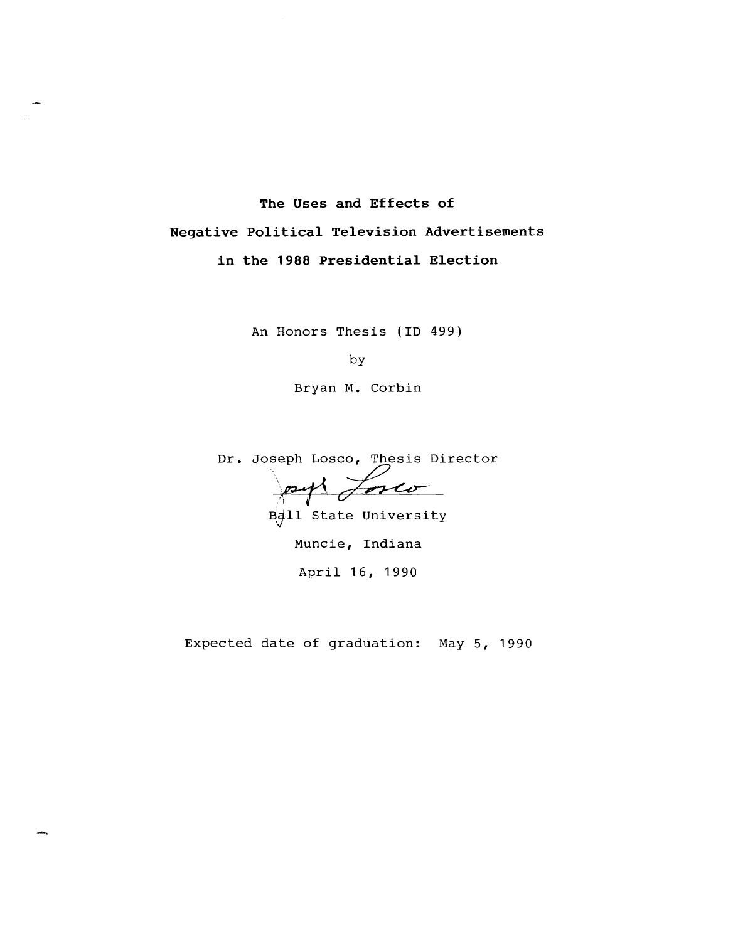# **The Uses and Effects of**

**Negative Political Television Advertisements** 

**in the 1988 Presidential Election** 

An Honors Thesis **(ID 499)** 

by

Bryan **M.** Corbin

Dr. Joseph Losco, Thesis Director

 $\rho \rightarrow 1$ Jones

Ball State University

Muncie, Indiana April 16, 1990

Expected date of graduation: May 5, 1990

-,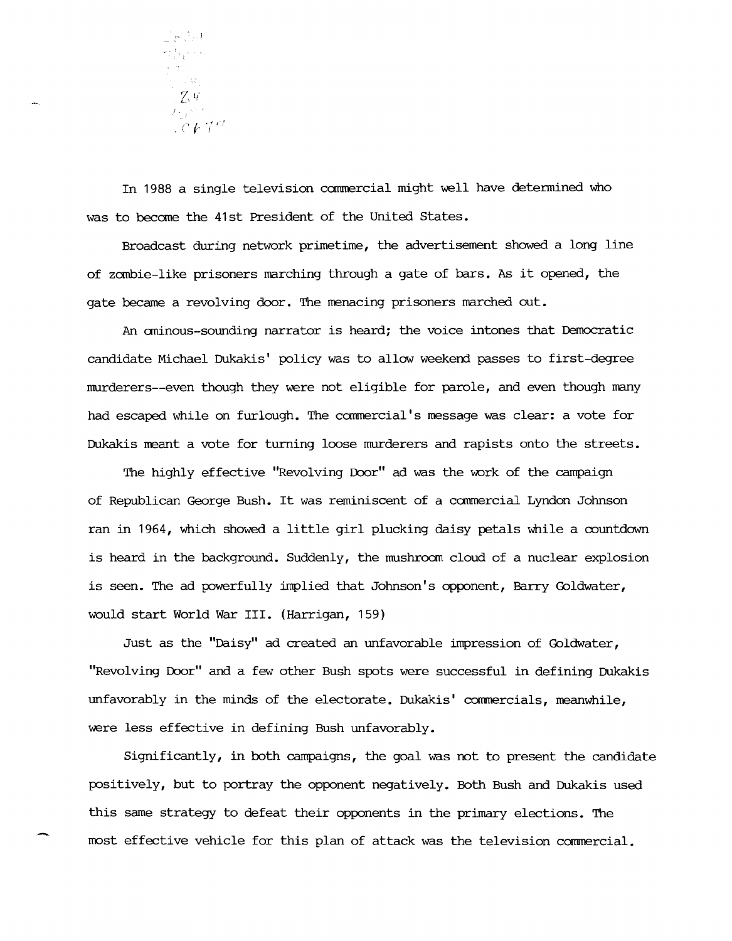

In 1988 a single television camnercial might well have determined who was to become the 41st President of the United states.

Broadcast during network primetime, the advertisement showed a long line of zombie-like prisoners marching through a gate of bars. As it opened, the gate became a revolving door. The menacing prisoners marched out.

An ominous-sounding narrator is heard; the voice intones that Democratic candidate Michael Dukakis' policy was to allow weekend passes to first-degree murderers--even though they were not eligible for parole, and even though many had escaped while on furlough. The commercial's message was clear: a vote for Dukakis meant a vote for turning loose murderers and rapists onto the streets.

The highly effective "Revolving Door" ad was the work of the campaign of Republican George Bush. It was reminiscent of a commercial Lyndon Johnson ran in 1964, which showed a little girl plucking daisy petals while a countdown is heard in the background. Suddenly, the mushroom cloud of a nuclear explosion is seen. The ad powerfully implied that Johnson's opponent, Barry Goldwater, would start World War III. (Harrigan, 159)

Just as the "Daisy" ad created an unfavorable impression of Goldwater, "Revolving Door" and a few other Bush spots were successful in defining Dukakis unfavorably in the minds of the electorate. Dukakis' commercials, meanwhile, were less effective in defining Bush unfavorably.

Significantly, in both campaigns, the goal was not to present the candidate positively, but to portray the opponent negatively. Both Bush and Dukakis used this same strategy to defeat their opponents in the primary elections. The most effective vehicle for this plan of attack was the television commercial.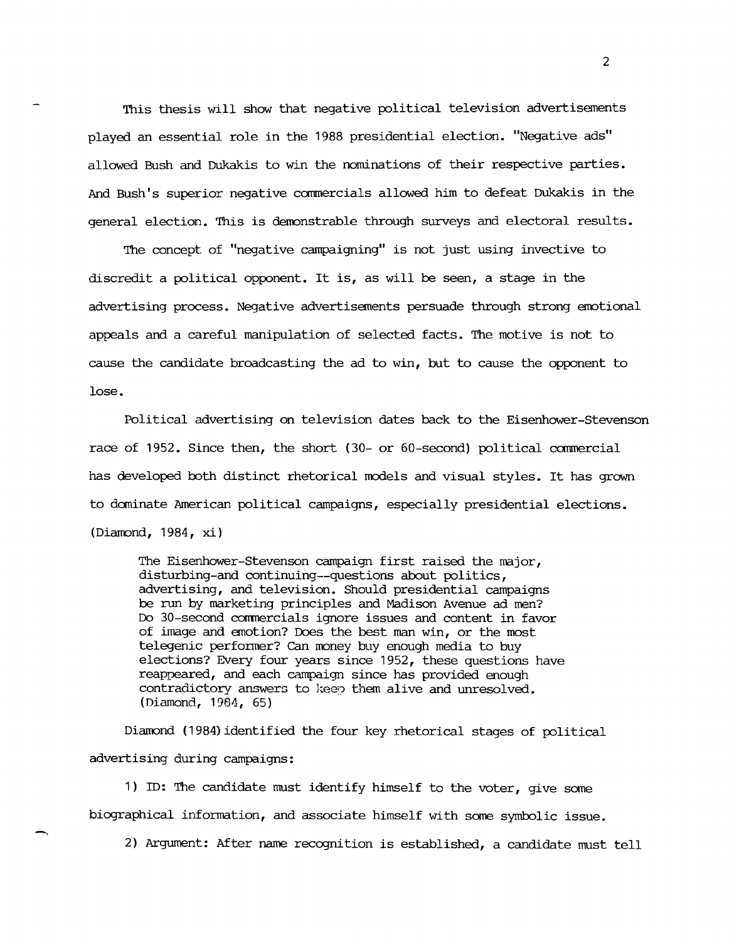This thesis will show that negative political television advertisements played an essential role in the 1988 presidential election. "Negative ads" allowed Bush and Dukakis to win the nominations of their respective parties. And Bush's superior negative commercials allowed him to defeat Dukakis in the general election. This is demonstrable through surveys and electoral results.

The concept of "negative campaigning" is not just using invective to discredit a political opponent. It is, as will be seen, a stage in the advertising process. Negative advertisements persuade through strong emotional appeals and a careful manipulation of selected facts. The motive is not to cause the candidate broadcasting the ad to win, but to cause the opponent to lose.

Political advertising on television dates back to the Eisenhower-stevenson race of 1952. Since then, the short (30- or 60-second) political commercial has developed both distinct rhetorical models and visual styles. It has grawn to dominate American political campaigns, especially presidential elections. (Diamond, 1984, xi)

The Eisenhower-Stevenson campaign first raised the major, disturbing-and continuing--questions about politics, advertising, and television. Should presidential campaigns be run by marketing principles and Madison Avenue ad men? Do 30-second commercials ignore issues and content in favor of image and emotion? Does the best man win, or the most telegenic performer? Can money buy enough media to buy elections? Every four years since 1952, these questions have reappeared, and each campaign since has provided enough contradictory answers to keep them alive and unresolved. (Diamond, 1984, 65)

Diamond (1984) identified the four key rhetorical stages of political advertising during campaigns:

1) ID: The candidate must identify himself to the voter, give some biographical information, and associate himself with same symbolic issue.

2) Argument: After name recognition is established, a candidate must tell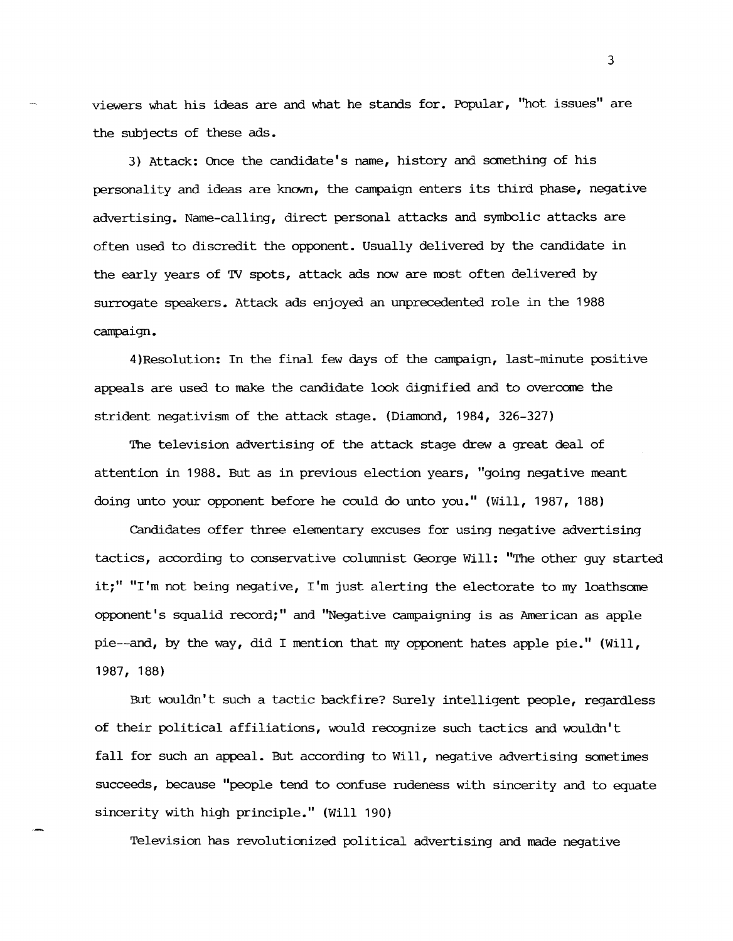viewers what his ideas are and what he stands for. Popular, "hot issues" are the subjects of these ads.

3) Attack: Once the candidate's name, history and sanething of his personality and ideas are known, the campaign enters its third phase, negative advertising. Name-calling, direct personal attacks and symbolic attacks are often used to discredit the opponent. Usually delivered by the candidate in the early years of TV spots, attack ads now are most often delivered by surrogate speakers. Attack ads enjoyed an unprecedented role in the 1988 campaign.

4)Resolution: In the final few days of the campaign, last-minute positive appeals are used to make the candidate look dignified and to overcome the strident negativism of the attack stage. (Diamond, 1984, 326-327)

The television advertising of the attack stage drew a great deal of attention in 1988. But as in previous election years, "going negative meant doing unto your opponent before he could do unto you." (Will, 1987, 188)

Candidates offer three elementary excuses for using negative advertising tactics, according to conservative columnist George Will: "The other guy started it;" "I'm not being negative, I'm just alerting the electorate to my loathsome opponent's squalid record;" and "Negative campaigning is as American as apple pie--and, by the way, did I mention that my opponent hates apple pie." (Will, 1987, 188)

But wouldn't such a tactic backfire? Surely intelligent people, regardless of their political affiliations, would recognize such tactics and wouldn't fall for such an appeal. But according to Will, negative advertising sometimes succeeds, because "people tend to confuse rudeness with sincerity and to equate sincerity with high principle." (Will 190)

Television has revolutionized political advertising and made negative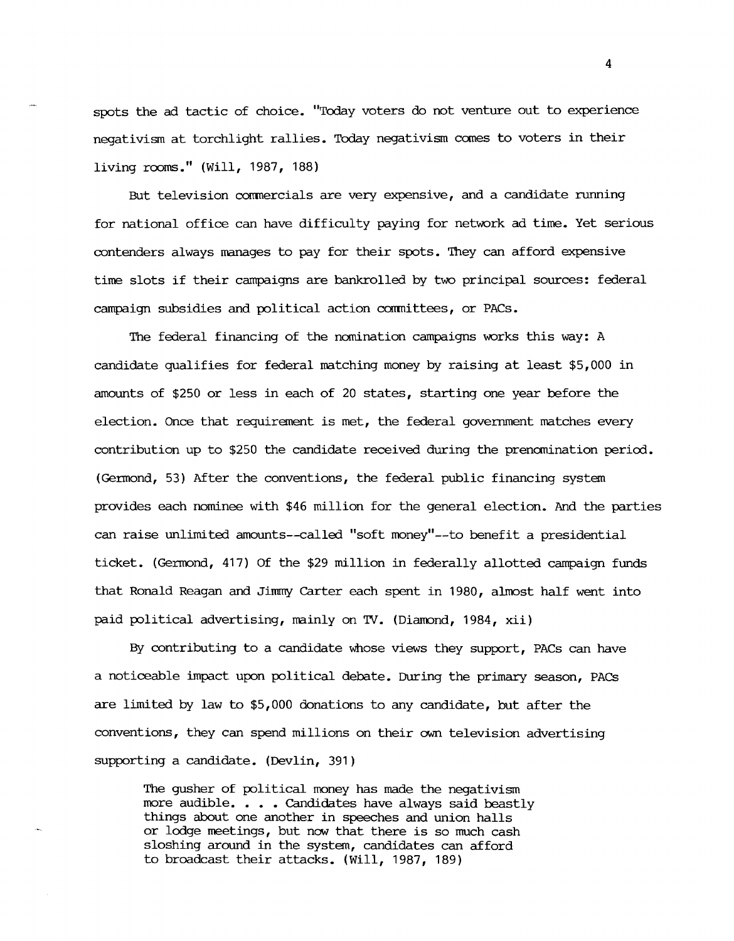spots the ad tactic of choice. "Today voters do not venture out to experience negativism at torchlight rallies. Today negativism comes to voters in their living rooms." (Will, 1987, 188)

But television commercials are very expensive, and a candidate running for national office can have difficulty paying for network ad time. Yet serious contenders always manages to pay for their spots. They can afford expensive time slots if their campaigns are bankrolled by two principal sources: federal campaign subsidies and political action committees, or PACs.

The federal financing of the nomination campaigns works this way: A candidate qualifies for federal matching money by raising at least \$5,000 in amounts of \$250 or less in each of 20 states, starting one year before the election. Once that requirement is met, the federal government matches every contribution up to \$250 the candidate received during the prenomination period. (Germond, 53) After the conventions, the federal public financing system provides each nominee with \$46 million for the general election. And the parties can raise unlimited amounts--called "soft money"--to benefit a presidential ticket. (Germond, 417) Of the \$29 million in federally allotted campaign funds that Ronald Reagan and Jimmy Carter each spent in 1980, almost half went into paid political advertising, mainly on TV. (Diamond, 1984, xii)

By contributing to a candidate whose views they support, PACs can have a noticeable impact upon political debate. During the primary season, PACs are limited by law to \$5,000 donations to any candidate, but after the conventions, they can spend millions on their own television advertising supporting a candidate. (Devlin, 391)

The gusher of political money has made the negativism more audible. • • • Candidates have always said beastly things about one another in speeches and union halls or lodge meetings, but now that there is so much cash sloshing around in the system, candidates can afford to broadcast their attacks. (Will, 1987, 189)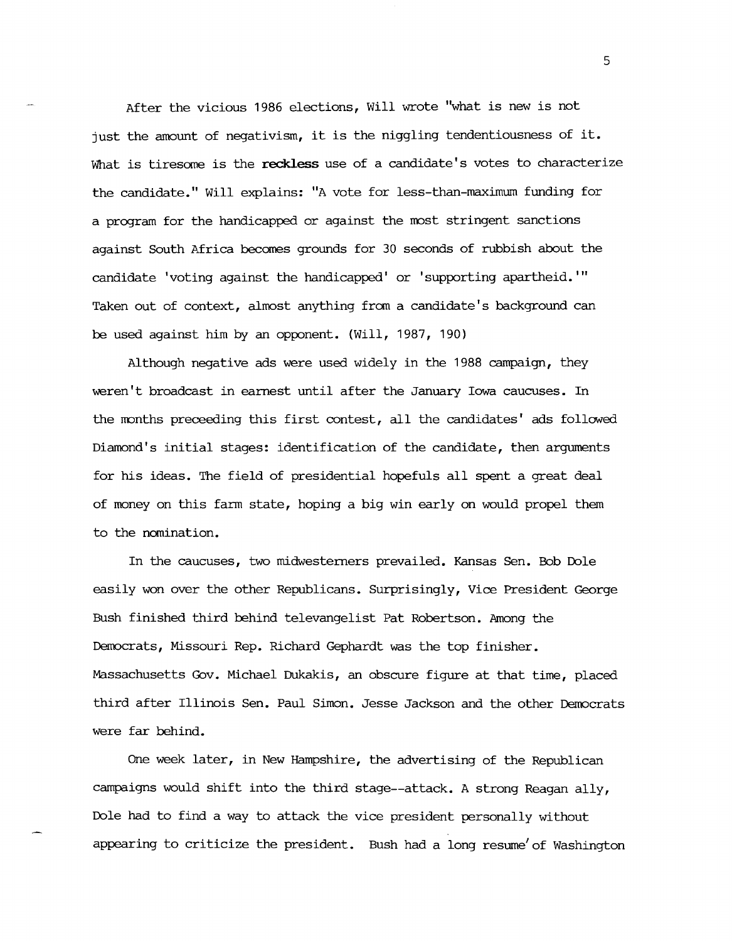After the vicious 1986 elections, Will wrote "what is new is not just the amount of negativism, it is the niggling tendentiousness of it. What is tiresome is the reckless use of a candidate's votes to characterize the candidate." Will explains: "A vote for less-than-maximum funding for a program for the handicapped or against the most stringent sanctions against South Africa becomes grounds for 30 seconds of rubbish about the candidate 'voting against the handicapped' or 'supporting **apartheid. "'**  Taken out of context, almost anything from a candidate's background can be used against him by an opponent. (Will, 1987, 190)

Although negative ads were used widely in the 1988 campaign, they weren't broadcast in earnest until after the January Iowa caucuses. In the months preceeding this first contest, all the candidates' ads followed Diamond's initial stages: identification of the candidate, then arguments for his ideas. The field of presidential hopefuls all spent a great deal of money on this farm state, hoping a big win early on would propel them to the nomination.

In the caucuses, two midwesterners prevailed. Kansas Sen. Bob Dole easily won over the other Republicans. Surprisingly, Vice President George Bush finished third behind televangelist Pat Robertson. Among the Democrats, Missouri Rep. Richard Gephardt was the top finisher. Massachusetts Gov. Michael Dukakis, an obscure figure at that time, placed third after Illinois Sen. Paul Simon. Jesse Jackson and the other Democrats were far behind.

One week later, in New Hampshire, the advertising of the Republican campaigns would shift into the third stage--attack. A strong Reagan ally, Dole had to find a way to attack the vice president personally without appearing to criticize the president. Bush had a long resume' of Washington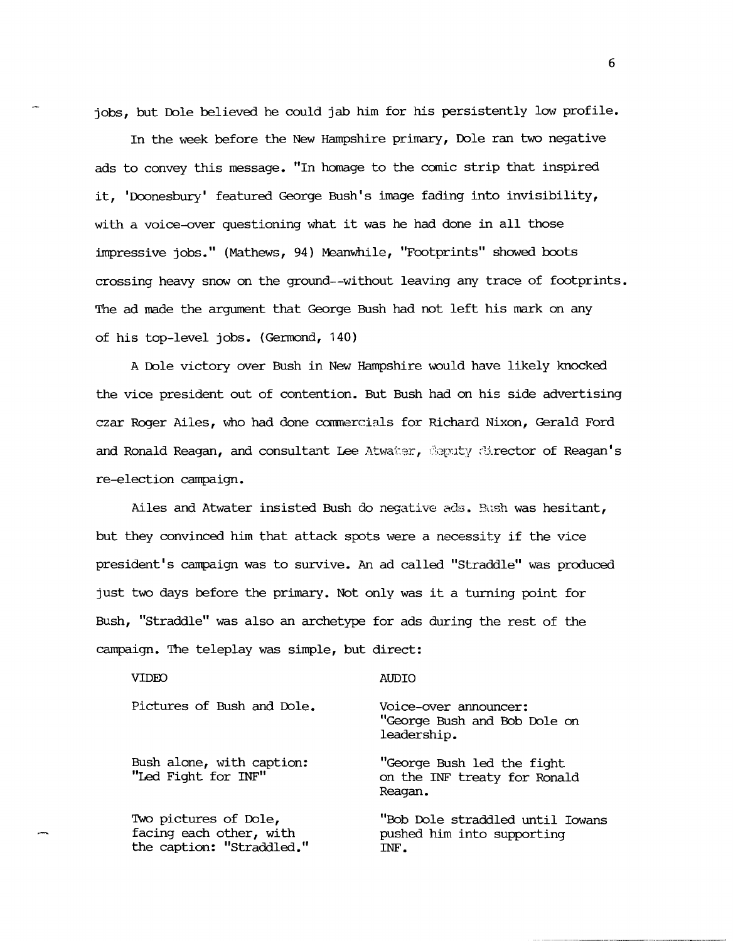jobs, but Dole believed he could jab him for his persistently low profile.

In the week before the New Hampshire primary, Dole ran two negative ads to convey this message. "In homage to the comic strip that inspired it, 'Doonesbury' featured George Bush's image fading into invisibility, with a voice-over questioning what it was he had done in all those impressive jobs." (Mathews, 94) Meanwhile, "Footprints" showed boots crossing heavy snow on the ground--without leaving any trace of footprints. The ad made the argument that George Bush had not left his mark on any of his top-level jobs. (Germond, 140)

A Dole victory over Bush in New Hampshire would have likely knocked the vice president out of contention. But Bush had on his side advertising czar Roger Ailes, who had done commercials for Richard Nixon, Gerald Ford and Ronald Reagan, and consultant Lee Atwater, Coputy director of Reagan's re-election campaign.

Ailes and Atwater insisted Bush do negative ads. Bush was hesitant, but they convinced him that attack spots were a necessity if the vice president's campaign was to survive. An ad called "Straddle" was produced just two days before the primary. Not only was it a turning point for Bush, "Straddle" was also an archetype for ads during the rest of the campaign. The teleplay was simple, but direct:

| <b>VIDEO</b>                                                                  | רו זו ב                                                                |
|-------------------------------------------------------------------------------|------------------------------------------------------------------------|
| Pictures of Bush and Dole.                                                    | Voice-over announcer:<br>"George Bush and Bob Dole on<br>leadership.   |
| Bush alone, with caption:<br>"Led Fight for INF"                              | "George Bush led the fight<br>on the INF treaty for Ronald<br>Reagan.  |
| Two pictures of Dole,<br>facing each other, with<br>the caption: "Straddled." | "Bob Dole straddled until Towans<br>pushed him into supporting<br>INF. |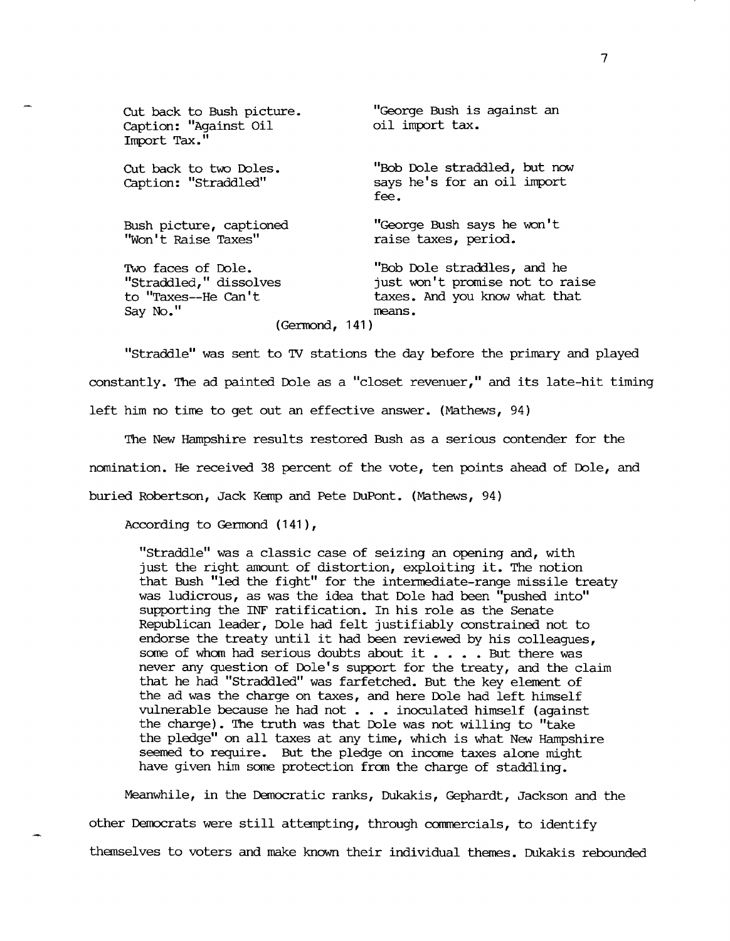| Cut back to Bush picture.<br>Caption: "Against Oil<br>Import Tax."                               | "George Bush is against an<br>oil import tax.                                                             |
|--------------------------------------------------------------------------------------------------|-----------------------------------------------------------------------------------------------------------|
| Cut back to two Doles.<br>Caption: "Straddled"                                                   | "Bob Dole straddled, but now<br>says he's for an oil import<br>fee.                                       |
| Bush picture, captioned<br>"Won't Raise Taxes"                                                   | "George Bush says he won't<br>raise taxes, period.                                                        |
| Two faces of Dole.<br>"Straddled," dissolves<br>to "Taxes--He Can't<br>Say No."<br>(German, 141) | "Bob Dole straddles, and he<br>just won't promise not to raise<br>taxes. And you know what that<br>means. |

"Straddle" was sent to TV stations the day before the primary and played constantly. The ad painted Dole as a "closet revenuer," and its late-hit timing left him no time to get out an effective answer. (Mathews, 94)

The New Hampshire results restored Bush as a serious contender for the nomination. He received 38 percent of the vote, ten points ahead of Ible, and buried Robertson, Jack Kemp and Pete DuPont. (Mathews, 94)

According to Germond (141),

"Straddle" was a classic case of seizing an opening and, with just the right amount of distortion, exploiting it. The notion that Bush "led the fight" for the intermediate-range missile treaty was ludicrous, as was the idea that Dole had been "pushed into" supporting the INF ratification. In his role as the Senate Republican leader, Ible had felt justifiably constrained not to endorse the treaty until it had been reviewed by his colleagues, some of whom had serious doubts about it . . . . But there was never any question of Dole's support for the treaty, and the claim that he had "Straddled" was farfetched. But the key element of the ad was the charge on taxes, and here Dole had left himself vulnerable because he had not  $\ldots$  inoculated himself (against the charge). The truth was that Ible was not willing to "take the pledge" on all taxes at any time, which is what New Hampshire seemed to require. But the pledge on income taxes alone might have given him some protection from the charge of staddling.

Meanwhile, in the Democratic ranks, Dukakis, Gephardt, Jackson and the other Democrats were still attempting, through commercials, to identify themselves to voters and make known their individual themes. Dukakis rebounded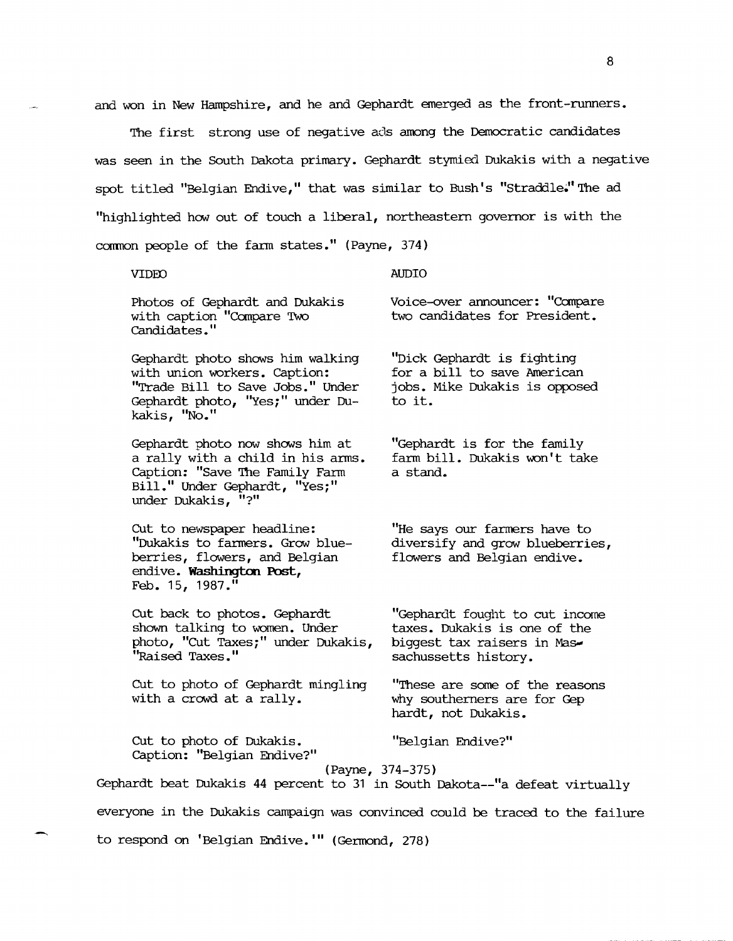and won in New Hampshire, and he and Gephardt emerged as the front-runners.

The first strong use of negative ads among the Democratic candidates was seen in the South Dakota primary. Gephardt stymied Dukakis with a negative spot titled "Belgian Endive," that was similar to Bush's "Straddle." The ad "highlighted how out of touch a liberal, northeastern governor is with the common people of the farm states." (Payne, 374)

### VIDED

AUDIO

Photos of Gephardt and Dukakis with caption "Compare Two Candidates. "

Gephardt photo shows him walking with union workers. caption: "Trade Bill to Save Jobs." Under Gephardt photo, "Yes;" under Dukakis, "No."

Gephardt photo now shows him at a rally with a child in his arms. Caption: "Save The Family Farm Bill." Under Gephardt, "Yes;" under Dukakis, "?"

CUt to newspaper headline: "Dukakis to fanners. Grow blueberries, flowers, and Belgian endive. Washington Post, Feb. 15, 1987."

cut back to photos. Gephardt shown talking to women. Under photo, "cut Taxes;" under Dukakis, "Raised Taxes."

CUt to photo of Gephardt mingling with a crowd at a rally.

cut to photo of Dukakis. caption: "Belgian Endive?" Voice-over announcer: "canpare two candidates for President.

"Dick Gephardt is fighting for a bill to save American jobs. Mike Dukakis is opposed to it.

"Gephardt is for the family farm bill. Dukakis won't take a stand.

"He says our farmers have to diversify and grow blueberries, flowers and Belgian endive.

"Gephardt fought to cut income taxes. Dukakis is one of the biggest tax raisers in Massachussetts history.

"These are some of the reasons why southerners are for Gep hardt, not Dukakis.

"Belgian Endive?"

## (Payne, 374-375)

Gephardt beat Dukakis 44 percent to 31 in South Dakota--"a defeat virtually

everyone in the Dukakis campaign was convinced could be traced to the failure

to respond on 'Belgian Endive. **"'** (Germond, 278)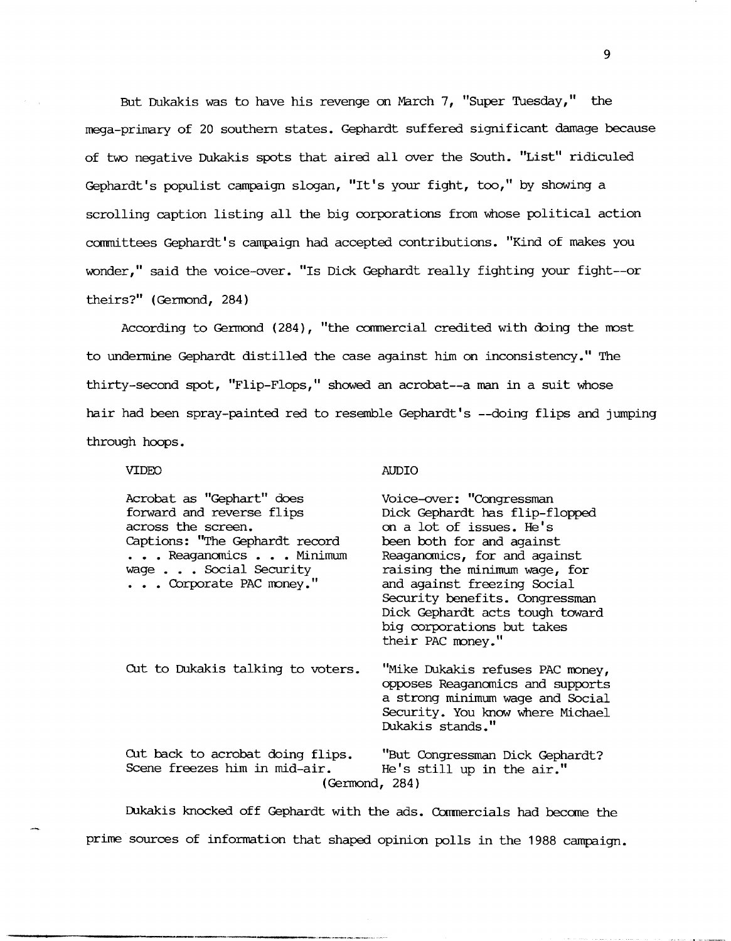But Dukakis was to have his revenge on March 7, "Super Tuesday," the mega-primary of 20 southern states. Gephardt suffered significant damage because of two negative Dukakis spots that aired allover the South. "List" ridiculed Gephardt's populist campaign slogan, "It's your fight, too," by showing a scrolling caption listing all the big corporations from whose political action canmittees Gephardt's campaign had accepted contributions. "Kind of makes you wonder," said the voice-over. "Is Dick Gephardt really fighting your fight--or theirs?" (Germond, 284)

According to Germond  $(284)$ , "the commercial credited with doing the most to undermine Gephardt distilled the case against him on inconsistency." The thirty-second spot, "Flip-Flops," showed an acrobat--a man in a suit whose hair had been spray-painted red to resemble Gephardt's --doing flips and jumping through hoops.

VIDEO

AUDIO

| Acrobat as "Gephart" does         | Voice-over: "Congressman         |  |
|-----------------------------------|----------------------------------|--|
| forward and reverse flips         | Dick Gephardt has flip-flopped   |  |
| across the screen.                | on a lot of issues. He's         |  |
| Captions: "The Gephardt record    | been both for and against        |  |
| Reaganomics  Minimum              | Reaganomics, for and against     |  |
| wage Social Security              | raising the minimum wage, for    |  |
| Corporate PAC money."             | and against freezing Social      |  |
|                                   | Security benefits. Congressman   |  |
|                                   | Dick Gephardt acts tough toward  |  |
|                                   | big corporations but takes       |  |
|                                   | their PAC money."                |  |
|                                   |                                  |  |
| Cut to Dukakis talking to voters. | "Mike Dukakis refuses PAC money, |  |
|                                   | opposes Reaganomics and supports |  |
|                                   | a strong minimum wage and Social |  |
|                                   | Security. You know where Michael |  |
|                                   | Dukakis stands."                 |  |
| Cut back to acrobat doing flips.  | "But Congressman Dick Gephardt?  |  |
| Scene freezes him in mid-air.     | He's still up in the air."       |  |
|                                   |                                  |  |
| (Germond, 284)                    |                                  |  |

Dukakis knocked off Gephardt with the ads. Commercials had become the prime sources of information that shaped opinion polls in the 1988 campaign.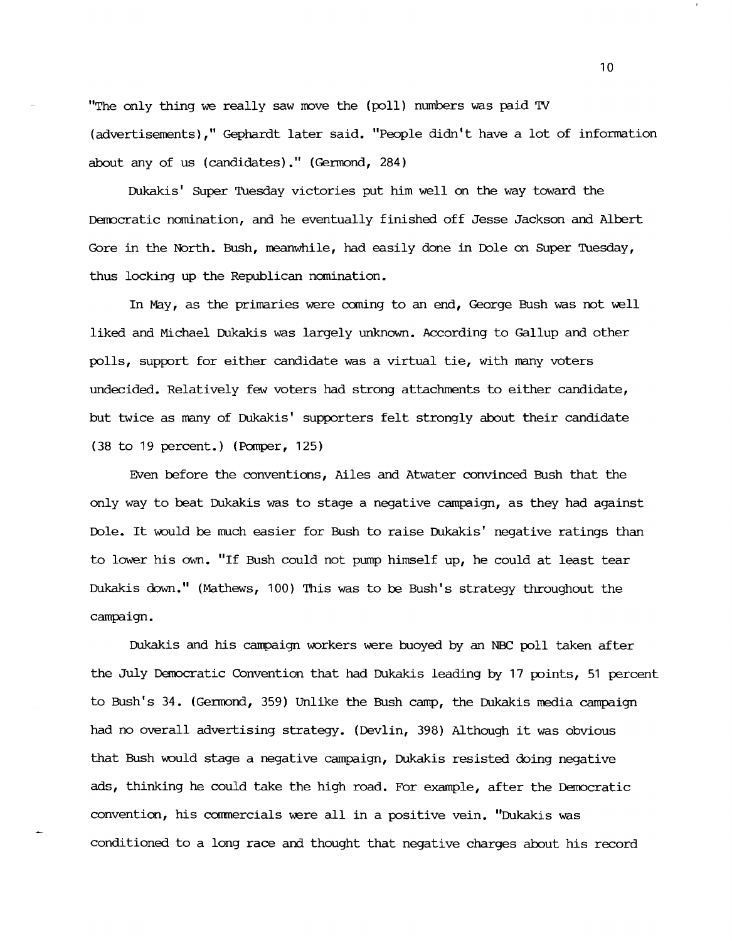"The only thing we really saw move the (poll) numbers was paid TV (advertisements)," Gephardt later said. "People didn't have a lot of infonnation about any of us (candidates)." (Germond,  $284$ )

Dukakis' SUper Tuesday victories put him well on the way toward the Democratic nomination, and he eventually finished off Jesse Jackson and Albert Gore in the North. Bush, meanwhile, had easily done in Ible on Super Tuesday, thus locking up the Republican nomination.

In May, as the primaries were coming to an end, George Bush was not well liked and Michael Dukakis was largely unknown. According to Gallup and other polls, support for either candidate was a virtual tie, with many voters undecided. Relatively few voters had strong attachments to either candidate, but twice as many of Dukakis' supporters felt strongly about their candidate (38 to 19 percent.) (Pamper, 125)

Even before the conventions, Ailes and Atwater convinced Bush that the only way to beat Dukakis was to stage a negative campaign, as they had against Ible. It would be much easier for Bush to raise Dukakis' negative ratings than to lower his own. "If Bush could not pump himself up, he could at least tear Dukakis down." (Mathews, 100) This was to be Bush's strategy throughout the campaign.

Dukakis and his campaign workers were buoyed by an NBC poll taken after the July Democratic Convention that had Dukakis leading by 17 points, 51 percent to Bush's 34. (Gerrrond, 359) Unlike the Bush camp, the Dukakis media campaign had no overall advertising strategy. (Devlin, 398) Although it was obvious that Bush would stage a negative campaign, Dukakis resisted doing negative ads, thinking he could take the high road. For example, after the Democratic convention, his commercials were all in a positive vein. "Dukakis was conditioned to a long race and thought that negative charges about his record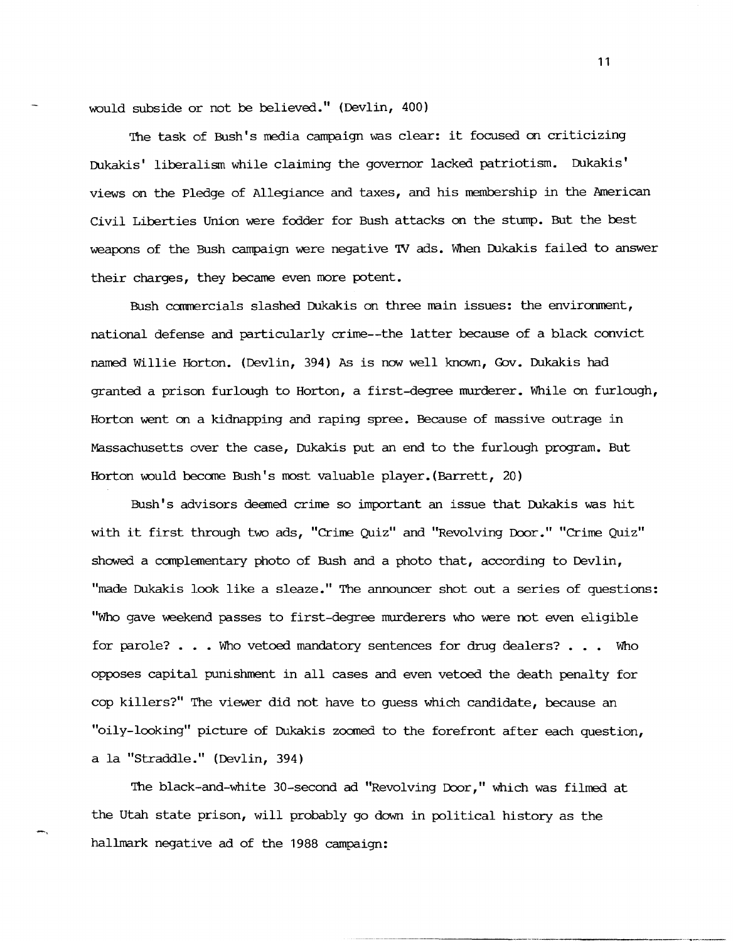would subside or not be believed." (Devlin, 400)

The task of Bush's media campaign was clear: it focused on criticizing Dukakis' liberalism while claiming the governor lacked patriotism. Dukakis' views on the Pledge of Allegiance and taxes, and his membership in the American Civil Liberties Union were fodder for Bush attacks on the stump. But the best weapons of the Bush campaign were negative TV ads. When Dukakis failed to answer their charges, they became even more potent.

Bush commercials slashed Dukakis on three main issues: the environment, national defense and particularly crime--the latter because of a black convict named Willie Horton. (Devlin, 394) As is now well known, Gov. Dukakis had granted a prison furlough to Horton, a first-degree murderer. While on furlough, Horton went on a kidnapping and raping spree. Because of massive outrage in Massachusetts over the case, Dukakis put an end to the furlough program. But Horton would become Bush's most valuable player.(Barrett, 20)

Bush's advisors deemed crime so important an issue that Dukakis was hit with it first through two ads, "Crime Quiz" and "Revolving Door." "Crime Quiz" showed a canplementary photo of Bush and a photo that, according to Devlin, "made Dukakis look like a sleaze." The announcer shot out a series of questions: "Who gave weekend passes to first-degree murderers who were not even eligible for parole? . . . Who vetoed mandatory sentences for drug dealers? . . . Who opposes capital punishment in all cases and even vetoed the death penalty for cop killers?" The viewer did not have to guess which candidate, because an "oily-looking" picture of Dukakis zoomed to the forefront after each question, a la "Straddle." (Devlin, 394)

The black-and-white 30-second ad "Revolving Door," which was filmed at the utah state prison, will probably go down in political history as the hallmark negative ad of the 1988 campaign:

-,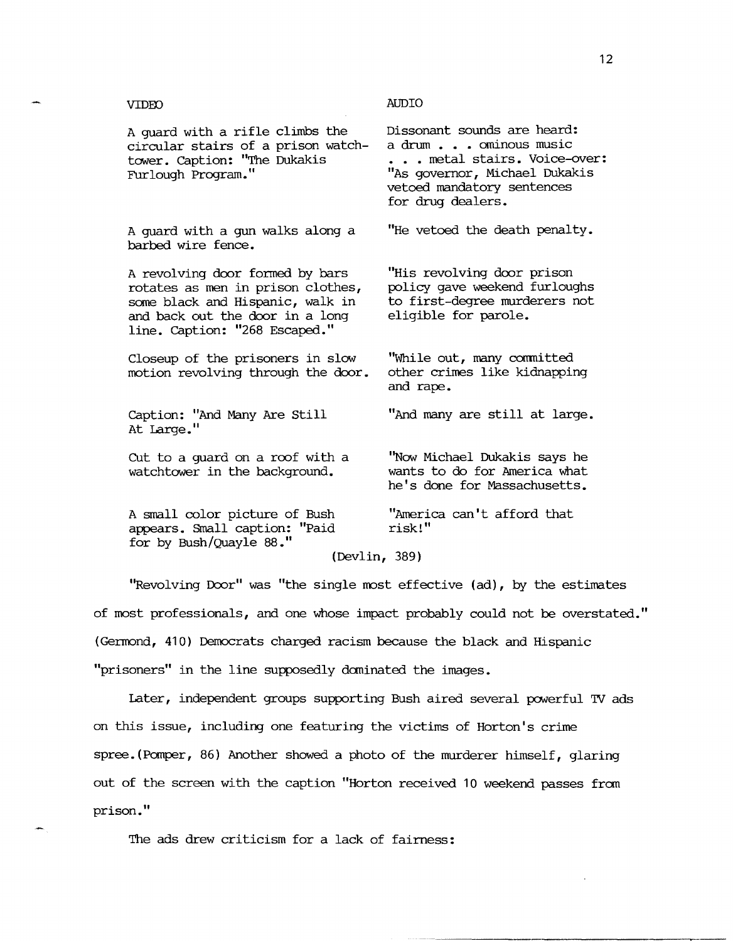## VIDEO AUDIO

A guard with a gun walks along a barbed wire fence.

A revolving door formed by bars rotates as men in prison clothes, some black and Hispanic, walk in and back out the door in a long line. caption: "268 Escaped."

Closeup of the prisoners in slow motion revolving through the door.

caption: "And Many Are still At Large."

Cut to a guard on a roof with a watchtower in the background.

A small color picture of Bush appears. Small caption: "Paid for by Bush/Quayle 88."

(Devlin, 389)

"Revolving Door" was "the single most effective (ad), by the estimates of most professionals, and one whose impact probably could not be overstated." (Germond, 41 0) Democrats charged racism because the black and Hispanic "prisoners" in the line supposedly daninated the images.

Later, independent groups supporting Bush aired several powerful TV ads on this issue, including one featuring the victims of Horton's crime spree.(Panper, 86) Another showed a photo of the murderer himself, glaring out of the screen with the caption "Horton received 10 weekend passes fran prison."

The ads drew criticism for a lack of fairness:

a drum . . . ominous music ... metal stairs. Voice-over: "As governor, Michael Dukakis vetoed mandatory sentences for drug dealers.

"He vetoed the death penalty.

"His revolving door prison policy gave weekend furloughs to first-degree murderers not eligible for parole.

"While out, many committed other crimes like kidnapping and rape.

"And many are still at large.

"Now Michael Dukakis says he wants to do for America what he's done for Massachusetts.

"America can't afford that risk!"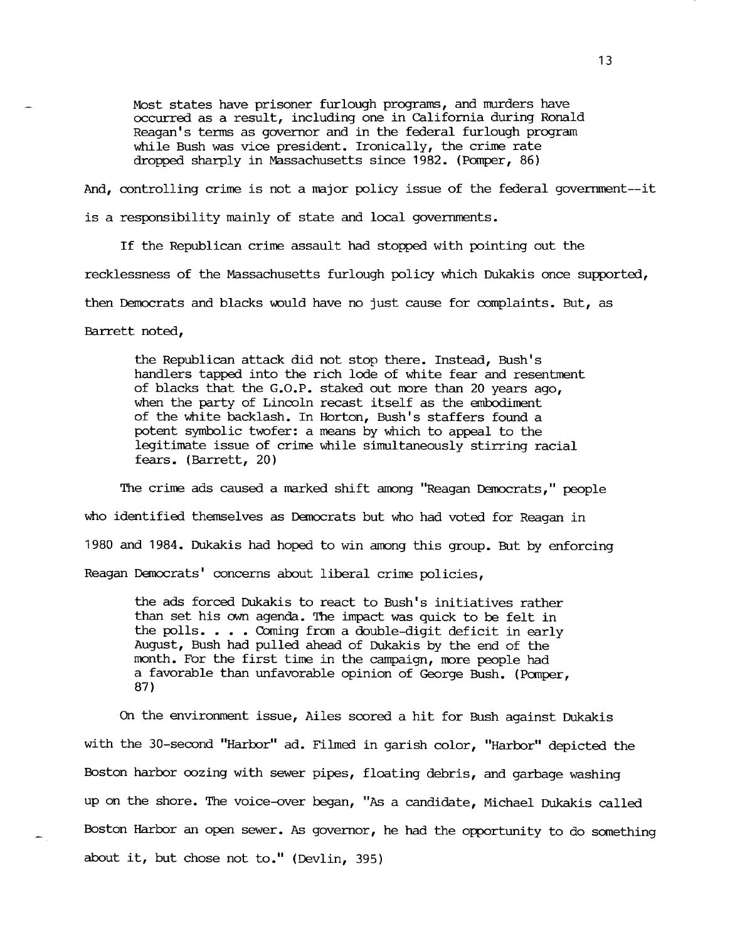Most states have prisoner furlough programs, and murders have occurred as a result, including one in California during Ronald Reagan's tenns as governor and in the federal furlough program while Bush was vice president. Ironically, the crime rate dropped sharply in Massachusetts since 1982. (Pomper, 86)

And, controlling crime is not a major policy issue of the federal government--it

is a responsibility mainly of state and local governments.

If the Republican crime assault had stopped with pointing out the recklessness of the Massachusetts furlough policy which Dukakis once supported, then Democrats and blacks would have no just cause for complaints. But, as

Barrett noted,

the Republican attack did not stop there. Instead, Bush's handlers tapped into the rich lode of white fear and resentment of blacks that the G.O.P. staked out more than 20 years ago, when the party of Lincoln recast itself as the embodiment of the white backlash. In Horton, Bush's staffers found a potent symbolic twofer: a means by which to appeal to the legitimate issue of crime while simultaneously stirring racial fears. (Barrett, 20)

The crime ads caused a marked shift among "Reagan Democrats," people who identified themselves as Democrats but who had voted for Reagan in 1980 and 1984. Dukakis had hoped to win among this group. But by enforcing Reagan Democrats' concerns about liberal crime policies,

the ads forced Dukakis to react to Bush's initiatives rather than set his own agenda. The impact was quick to be felt in the polls. . . . Coming from a double-digit deficit in early August, Bush had pulled ahead of Dukakis by the end of the month. For the first time in the campaign, more people had a favorable than unfavorable opinion of George Bush. (Pomper, 87)

On the environment issue, Ailes scored a hit for Bush against Dukakis with the 30-second "Harbor" ad. Filmed in garish color, "Harbor" depicted the Boston harbor oozing with sewer pipes, floating debris, and garbage washing up on the shore. The voice-over began, "As a candidate, Michael Dukakis called Boston Harbor an open sewer. As governor, he had the opportunity to do something about it, but chose not to." (Devlin, 395)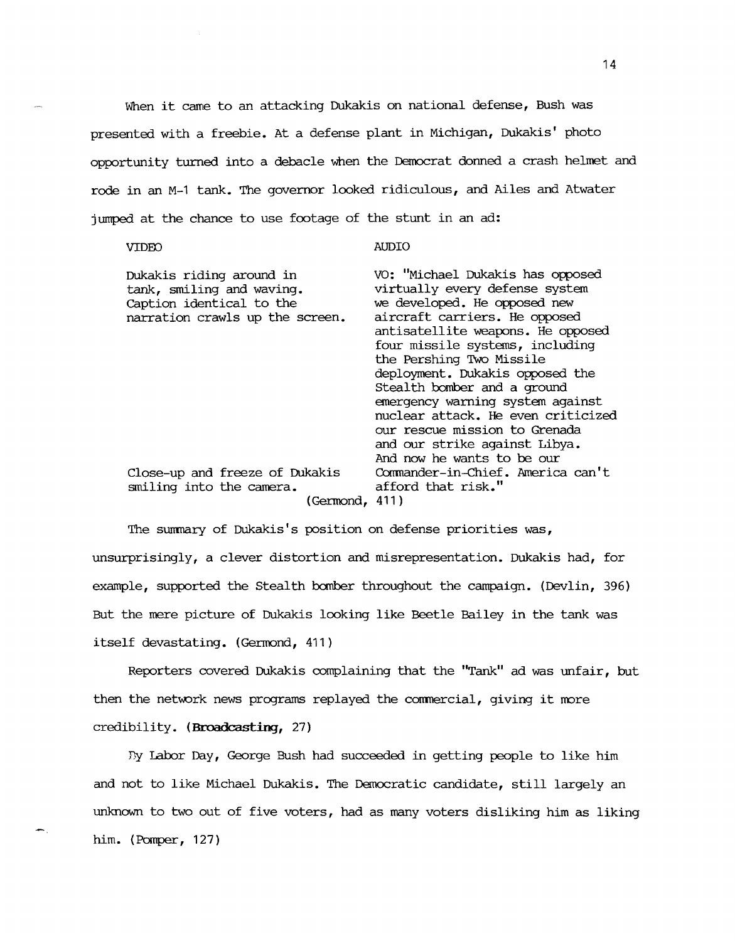When it came to an attacking Dukakis on national defense, Bush was presented with a freebie. At a defense plant in Michigan, Dukakis' photo opportunity turned into a debacle when the Democrat donned a crash helmet and rode in an M-1 tank. The governor looked ridiculous, and Ailes and Atwater jumped at the chance to use footage of the stunt in an ad:

### VIDED

AUDIO

| Dukakis riding around in<br>tank, smiling and waving.<br>Caption identical to the<br>narration crawls up the screen. | VO: "Michael Dukakis has opposed<br>virtually every defense system<br>we developed. He opposed new<br>aircraft carriers. He opposed<br>antisatellite weapons. He opposed<br>four missile systems, including<br>the Pershing Two Missile<br>deployment. Dukakis opposed the<br>Stealth bomber and a ground<br>emergency warning system against<br>nuclear attack. He even criticized<br>our rescue mission to Grenada<br>and our strike against Libya. |
|----------------------------------------------------------------------------------------------------------------------|-------------------------------------------------------------------------------------------------------------------------------------------------------------------------------------------------------------------------------------------------------------------------------------------------------------------------------------------------------------------------------------------------------------------------------------------------------|
|                                                                                                                      | And now he wants to be our                                                                                                                                                                                                                                                                                                                                                                                                                            |
| Close-up and freeze of Dukakis<br>smiling into the camera.<br>(Germond, 411)                                         | Commander-in-Chief. America can't<br>afford that risk."                                                                                                                                                                                                                                                                                                                                                                                               |
|                                                                                                                      |                                                                                                                                                                                                                                                                                                                                                                                                                                                       |

The summary of Dukakis's position on defense priorities was, unsurprisingly, a clever distortion and misrepresentation. Dukakis had, for example, supported the Stealth bomber throughout the campaign. (Devlin, 396) But the mere picture of Dukakis looking like Beetle Bailey in the tank was itself devastating. (Germond, 411)

Reporters covered Dukakis complaining that the "Tank" ad was unfair, but then the network news programs replayed the commercial, giving it more credibility. (Broadcasting, 27)

By Labor Day, George Bush had succeeded in getting people to like him and not to like Michael Dukakis. The Democratic candidate, still largely an unknown to two out of five voters, had as many voters disliking him as liking him. (Pomper, 127)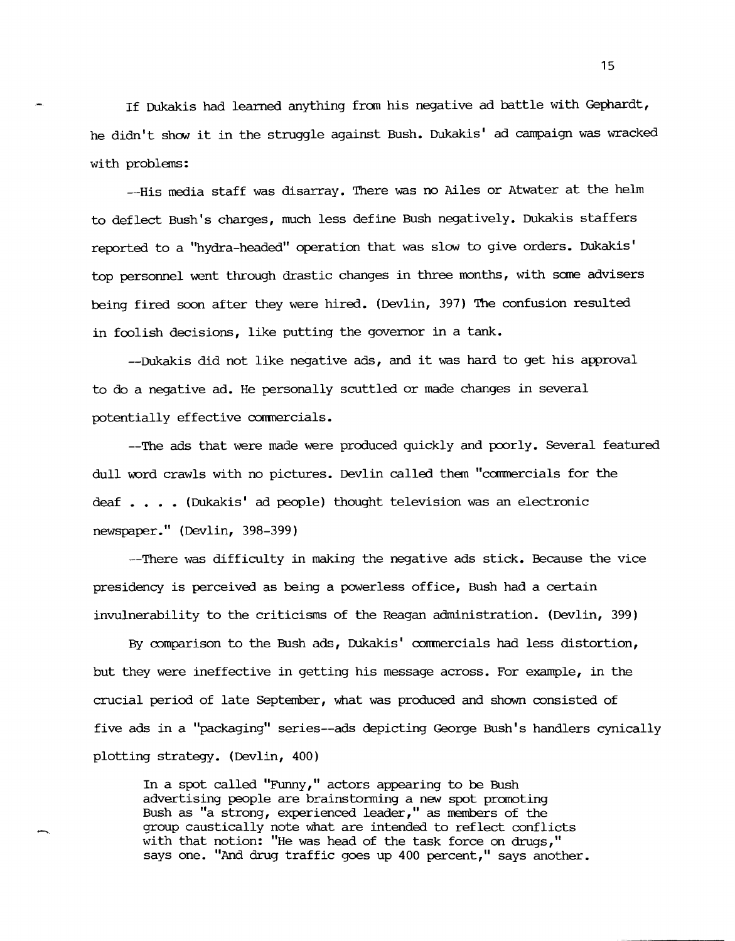If Dukakis had learned anything fram his negative ad battle with Gephardt, he didn't show it in the struggle against Bush. Dukakis' ad campaign was wracked with problems:

--His media staff was disarray. There was no Ailes or Atwater at the helm to deflect Bush's charges, much less define Bush negatively. Dukakis staffers reported to a "hydra-headed" operation that was slow to give orders. Dukakis' top personnel went through drastic changes in three months, with same advisers being fired soon after they were hired. (Devlin, 397) The confusion resulted in foolish decisions, like putting the governor in a tank.

--Dukakis did not like negative ads, and it was hard to get his approval to do a negative ad. He personally scuttled or made changes in several potentially effective commercials.

--The ads that were made were produced quickly and poorly. Several featured dull word crawls with no pictures. Devlin called them "canmercials for the deaf . . . . (Dukakis' ad people) thought television was an electronic newspaper." (Devlin, 398-399)

--There was difficulty in making the negative ads stick. Because the vice presidency is perceived as being a powerless office, Bush had a certain invulnerability to the criticisms of the Reagan administration. (Devlin, 399)

By comparison to the Bush ads, Dukakis' commercials had less distortion, but they were ineffective in getting his message across. For example, in the crucial period of late September, what was produced and shown consisted of five ads in a "packaging" series--ads depicting George Bush's handlers cynically plotting strategy. (Devlin, 400)

In a spot called "Funny," actors appearing to be Bush advertising people are brainstorming a new spot promoting Bush as "a strong, experienced leader," as members of the group caustically note what are intended to reflect conflicts with that notion: "He was head of the task force on drugs," says one. "And drug traffic goes up 400 percent," says another.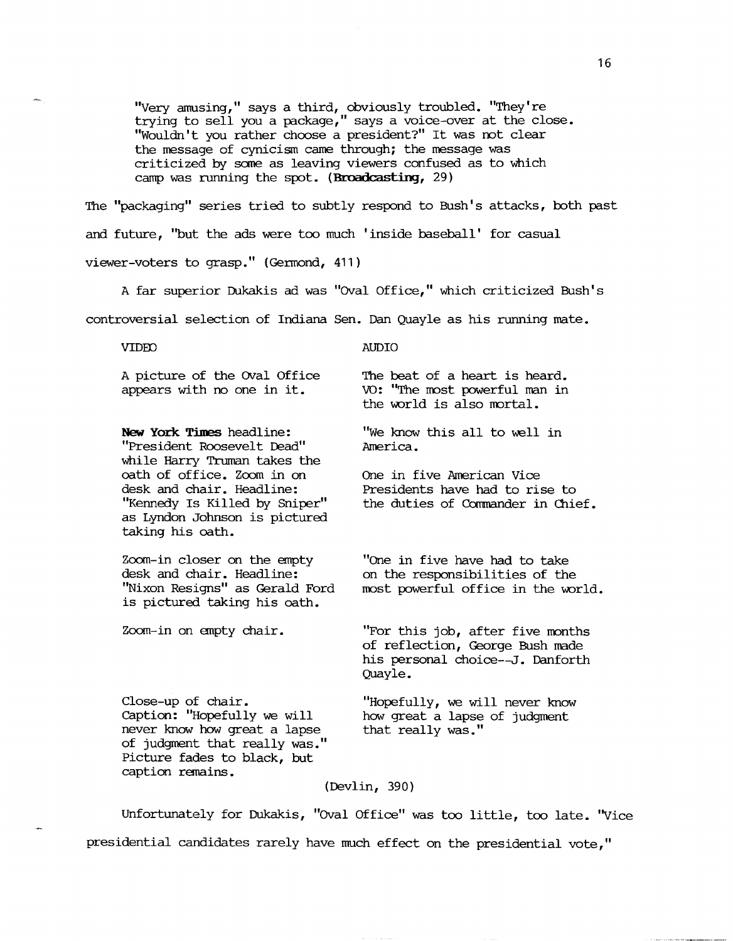"Very amusing," says a third, obviously troubled. "They're trying to sell you a package," says a voice-over at the close. "Wouldn't you rather choose a president?" It was not clear the message of cynicism came through; the message was criticized by same as leaving viewers confused as to which camp was running the spot. (Broadcasting, 29)

The "packaging" series tried to subtly respond to Bush's attacks, both past and future, "but the ads were too much 'inside baseball' for casual viewer-voters to grasp." (Gennond, 411)

<sup>A</sup>far superior Dukakis ad was "OVal Office," which criticized Bush's controversial selection of Indiana Sen. Dan Quayle as his running mate.

VIDED

AUDIO

A picture of the OVal Office appears with no one in it.

**New York Times** headline: "President Roosevelt Dead" while Harry Truman takes the oath of office. Zoom in on desk and chair. Headline: "Kennedy Is Killed by Sniper" as Lyndon Johnson is pictured taking his oath.

Zoom-in closer on the empty desk and chair. Headline: "Nixon Resigns" as Gerald Ford is pictured taking his oath.

Zoom-in on empty chair.

The beat of a heart is heard. vo: "The most powerful man in the world is also mortal.

"We know this all to well in America.

One in five American Vice Presidents have had to rise to the duties of Commander in Chief.

"One in five have had to take on the responsibilities of the most powerful office in the world.

"For this job, after five months of reflection, George Bush made his personal choice--J. Danforth Quayle.

Close-up of chair. caption: "Hopefully we will never know how great a lapse of judgment that really was." Picture fades to black, but caption remains.

"Hopefully, we will never know how great a lapse of judgment that really was."

(Devlin, 390)

Unfortunately for Dukakis, "OVal Office" was too little, too late. ''vice presidential candidates rarely have much effect on the presidential vote,"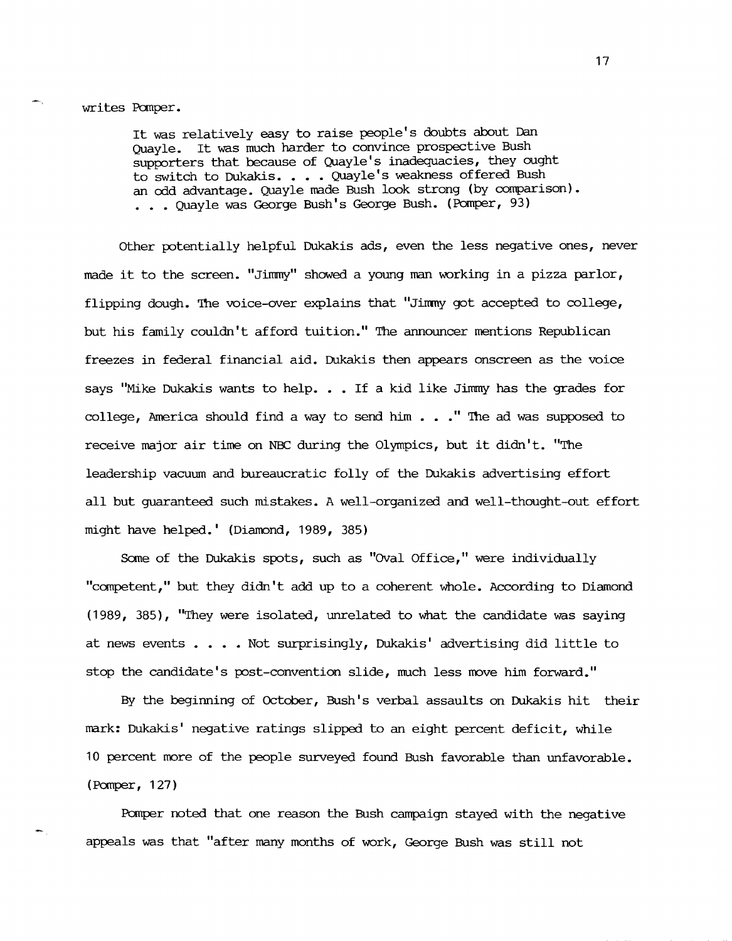## writes Pomper.

It was relatively easy to raise people's doubts about Dan Quayle. It was much harder to convince prospective Bush supporters that because of Quayle's inadequacies, they ought to switch to Dukakis. • • • Quayle's weakness offered Bush an odd advantage. Quayle made Bush look strong (by comparison) • • • • Quayle was George Bush's George Bush. (Pomper, 93)

other potentially helpful Dukakis ads, even the less negative ones, never made it to the screen. "Jimmy" showed a young man working in a pizza parlor, flipping dough. The voice-over explains that "Jimmy got accepted to college, but his family **couldn't** afford tuition." The announcer mentions Republican freezes in federal financial aid. Dukakis then appears onscreen as the voice says "Mike Dukakis wants to help. . . If a kid like Jimmy has the grades for college, America should find a way to send him  $\ldots$  " The ad was supposed to receive major air time on NBC during the Olympics, but it didn't. "The leadership vacuum and bureaucratic folly of the Dukakis advertising effort all but guaranteed such mistakes. A well-organized and well-thought-out effort might have helped.' (Diamond, 1989, 385)

Some of the Dukakis spots, such as "OVal Office," were individually "canpetent," but they **didn't** add up to a coherent whole. According to Diamond (1989, 385), "They were isolated, unrelated to what the candidate was saying at news events . . . . Not surprisingly, Dukakis' advertising did little to stop the candidate's post-convention slide, much less move him forward."

By the beginning of October, Bush's verbal assaults on Dukakis hit their mark: Dukakis' negative ratings slipped to an eight percent deficit, while 10 percent more of the people surveyed found Bush favorable than unfavorable. (Pomper, 127)

Pomper noted that one reason the Bush campaign stayed with the negative appeals was that "after many months of work, George Bush was still not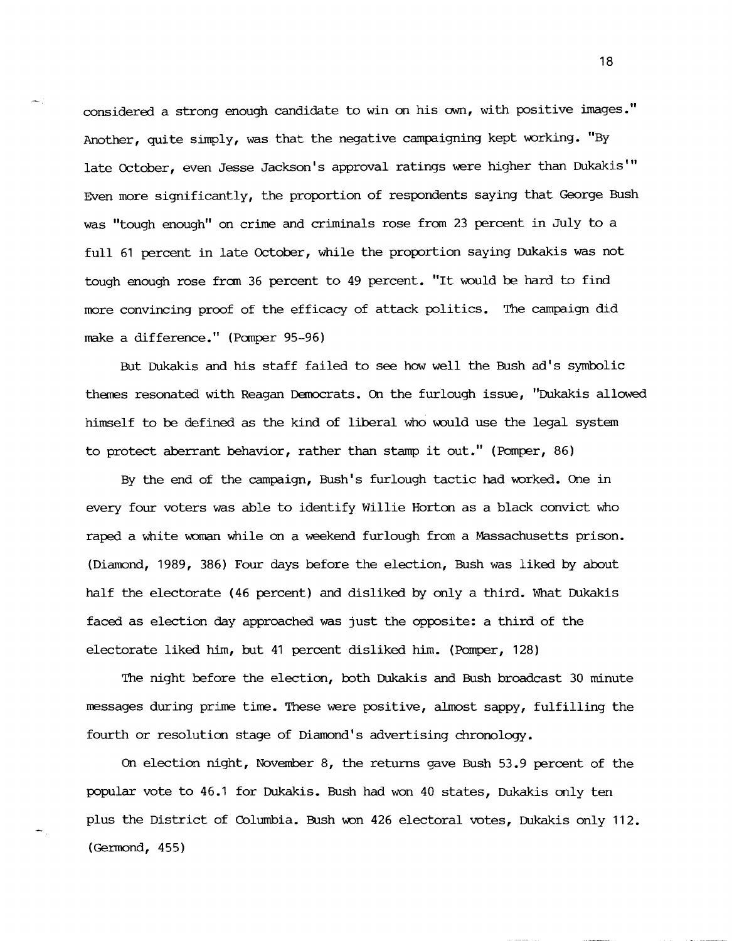considered a strong enough candidate to win on his own, with positive images." Another, quite simply, was that the negative campaigning kept working. "By late October, even Jesse Jackson's approval ratings were higher than Dukakis'" Even more significantly, the proportion of respondents saying that George Bush was "tough enough" on crime and criminals rose from 23 percent in July to a full 61 percent in late October, while the proportion saying Dukakis was not tough enough rose from 36 percent to 49 percent. "It would be hard to find more convincing proof of the efficacy of attack politics. The campaign did make a difference." (Pomper 95-96)

But Dukakis and his staff failed to see how well the Bush ad's symbolic themes resonated with Reagan DEmocrats. On the furlough issue, "Dukakis allowed himself to be defined as the kind of liberal who would use the legal system to protect aberrant behavior, rather than stamp it out." (Pomper, 86)

By the end of the campaign, Bush's furlough tactic had worked. One in every four voters was able to identify Willie Horton as a black convict who raped a white woman while on a weekend furlough from a Massachusetts prison. (Diamond, 1989, 386) Four days before the election, Bush was liked by about half the electorate (46 percent) and disliked by only a third. What Dukakis faced as election day approached was just the opposite: a third of the electorate liked him, but 41 percent disliked him. (Pomper, 128)

The night before the election, both Dukakis and Bush broadcast 30 minute messages during prime time. These were positive, almost sappy, fulfilling the fourth or resolution stage of Diamond's advertising chronology.

On election night, November 8, the returns gave Bush 53.9 percent of the popular vote to 46.1 for Dukakis. Bush had won 40 states, Dukakis only ten plus the District of Columbia. Bush won 426 electoral votes, Dukakis only 112.  $(German, 455)$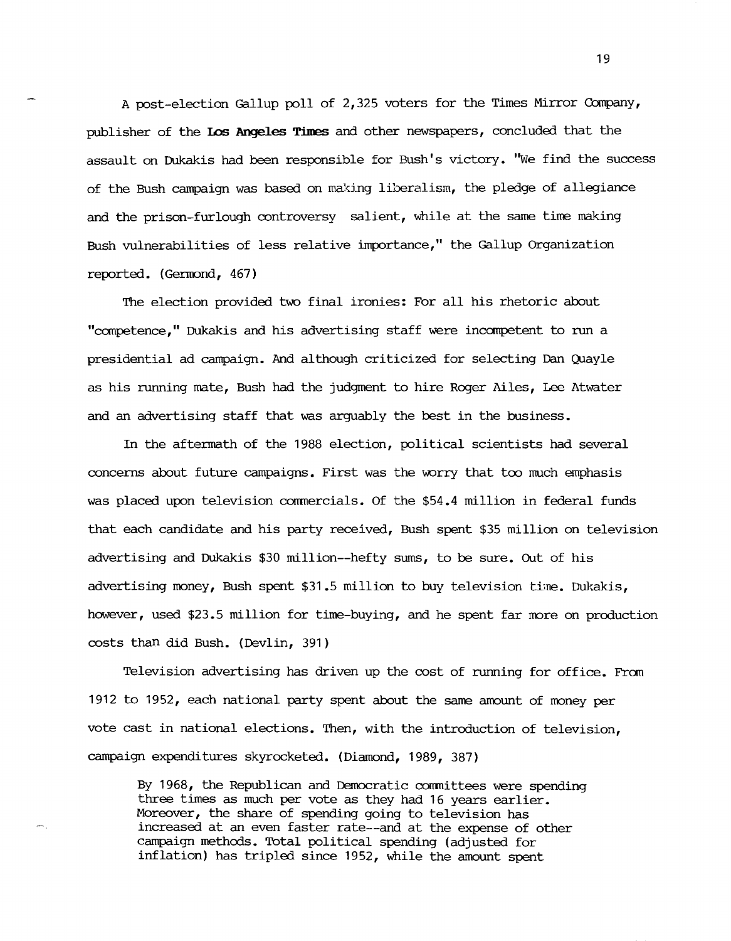A post-election Gallup poll of 2,325 voters for the Times Mirror Oompany, publisher of the **IDs Angeles Times** and other newspapers, concluded that the assault on Dukakis had been responsible for Bush's victory. "We find the success of the Bush campaign was based on making liberalism, the pledge of allegiance and the prison-furlough controversy salient, while at the same time making Bush vulnerabilities of less relative importance," the Gallup Organization reported. (Germond, 467)

The election provided two final ironies: For all his rhetoric about "competence," Dukakis and his advertising staff were incanpetent to run a presidential ad campaign. And although criticized for selecting Dan Quayle as his running mate, Bush had the judgment to hire Roger Ailes, Lee Atwater and an advertising staff that was arguably the best in the business.

In the aftermath of the 1988 election, political scientists had several concerns about future campaigns. First was the worry that too much emphasis was placed upon television commercials. Of the \$54.4 million in federal funds that each candidate and his party received, Bush spent \$35 million on television advertising and Dukakis \$30 million--hefty sums, to be sure. Out of his advertising money, Bush spent \$31.5 million to buy television time. Dukakis, however, used \$23.5 million for time-buying, and he spent far more on production costs than did Bush. (Devlin, 391)

Television advertising has driven up the cost of running for office. From 1912 to 1952, each national party spent about the same amount of money per vote cast in national elections. Then, with the introduction of television, campaign expenditures skyrocketed. (Diamond, 1989, 387)

By 1968, the Republican and Democratic committees were spending three times as much per vote as they had 16 years earlier. Moreover, the share of spending going to television has increased at an even faster rate--and at the expense of other campaign methods. 'Ibtal political spending (adjusted for inflation) has tripled since 1952, while the amount spent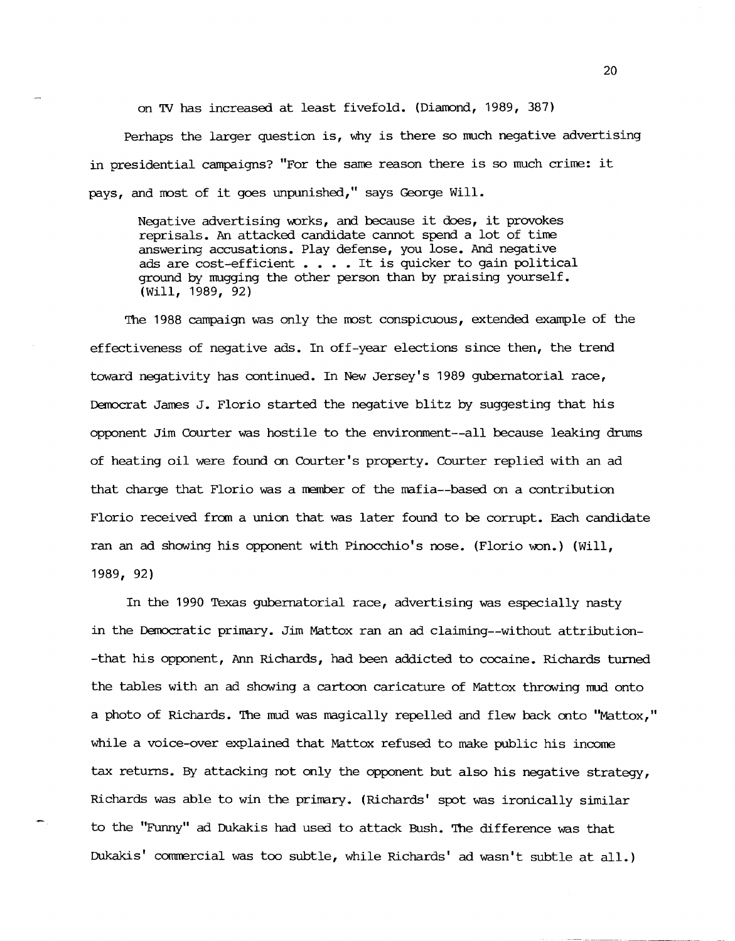on TV has increased at least fivefold. (Diamond, 1989, 387)

Perhaps the larger question is, why is there so much negative advertising in presidential campaigns? "For the same reason there is so much crime: it pays, and most of it goes unpunished," says George Will.

Negative advertising works, and because it does, it provokes reprisals. An attacked candidate cannot spend a lot of time answering accusations. Play defense, you lose. And negative ads are cost-efficient . . . . It is quicker to gain political ground by mugging the other person than by praising yourself. (Will, 1989, 92)

The 1988 campaign was only the rrost conspicuous, extended example of the effectiveness of negative ads. In off-year elections since then, the trend toward negativity has continued. In New Jersey's 1989 gubernatorial race, Democrat James J. Florio started the negative blitz by suggesting that his opponent Jim Courter was hostile to the environment--all because leaking drums of heating oil were found on Courter's property. Courter replied with an ad that charge that Florio was a member of the mafia--based on a contribution Florio received frcm a union that was later found to be corrupt. Each candidate ran an ad showing his opponent with Pinocchio's nose. (Florio won.) (Will, 1989, 92)

In the 1990 Texas gubernatorial race, advertising was especially nasty in the Democratic primary. Jim Mattox ran an ad claiming--without attribution- -that his opponent, Ann Richards, had been addicted to cocaine. Richards turned the tables with an ad showing a cartoon caricature of Mattox throwing mud onto a photo of Richards. The mud was magically repelled and flew back onto "Mattox," while a voice-over explained that Mattox refused to make public his income tax returns. By attacking not only the opponent but also his negative strategy, Richards was able to win the primary. (Richards' spot was ironically similar to the "Funny" ad Dukakis had used to attack Bush. The difference was that Dukakis' commercial was too subtle, while Richards' ad wasn't subtle at all.)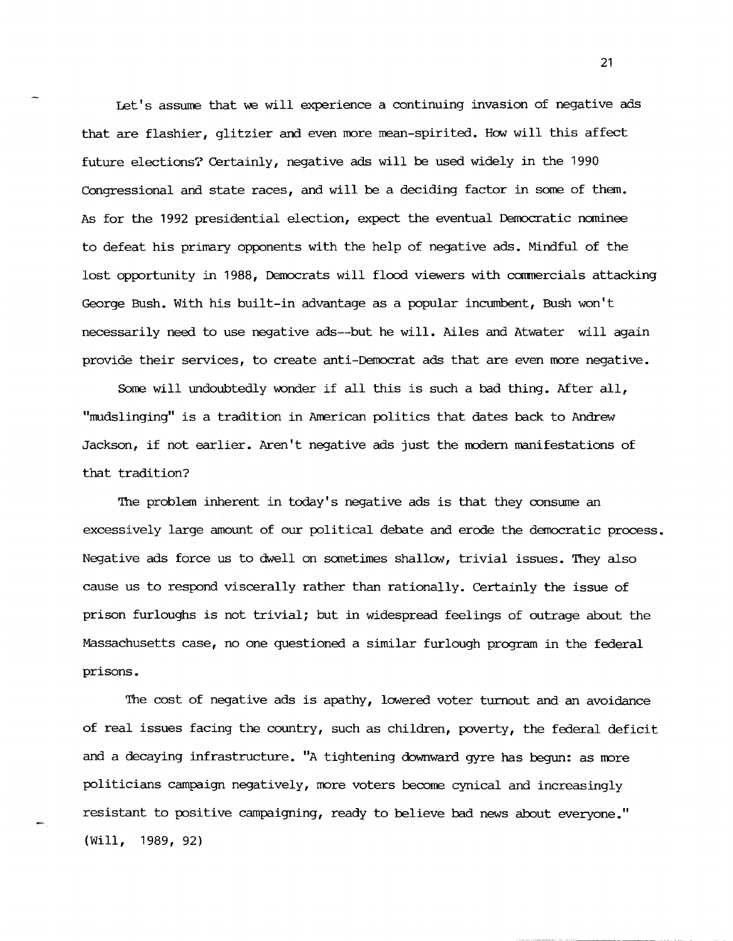Let's assume that we will experience a continuing invasion of negative ads that are flashier, glitzier and even more mean-spirited. How will this affect future elections? Certainly, negative ads will be used widely in the 1990 Congressional and state races, and will be a deciding factor in some of them. As for the 1992 presidential election, expect the eventual Democratic nominee to defeat his primary opponents with the help of negative ads. Mindful of the lost opportunity in 1988, Democrats will flood viewers with commercials attacking George Bush. With his built-in advantage as a popular incumbent, Bush won't necessarily need to use negative ads--but he will. Ailes and Atwater will again provide their services, to create anti-Democrat ads that are even more negative.

Some will undoubtedly wonder if all this is such a bad thing. After all, "mudslinging" is a tradition in American politics that dates back to Andrew Jackson, if not earlier. Aren't negative ads just the modern manifestations of that tradition?

The problem inherent in today's negative ads is that they consume an excessively large amount of our political debate and erode the democratic process. Negative ads force us to dwell on sometimes shallow, trivial issues. They also cause us to respond viscerally rather than rationally. Certainly the issue of prison furloughs is not trivial; but in widespread feelings of outrage about the Massachusetts case, no one questioned a similar furlough program in the federal prisons.

'The cost of negative ads is apathy, lowered voter turnout and an avoidance of real issues facing the country, such as children, poverty, the federal deficit and a decaying infrastructure. "A tightening downward gyre has begun: as more politicians campaign negatively, more voters become cynical and increasingly resistant to positive campaigning, ready to believe bad news about everyone." (Will, 1989, 92)

--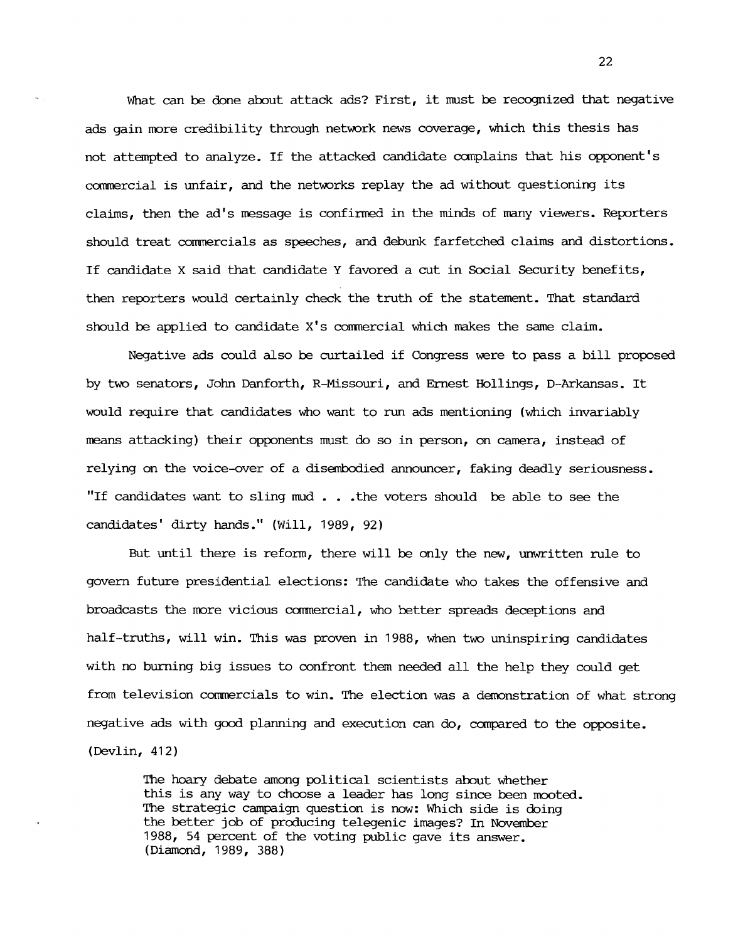What can be done about attack ads? First, it must be recognized that negative ads gain more credibility through network news coverage, which this thesis has not attempted to analyze. If the attacked candidate canplains that his opponent's commercial is unfair, and the networks replay the ad without questioning its claims, then the ad's message is confirmed in the minds of many viewers. Reporters should treat commercials as speeches, and debunk farfetched claims and distortions. If candidate X said that candidate Y favored a cut in Social Security benefits, then reporters would certainly check the truth of the statement. That standard should be applied to candidate  $X$ 's commercial which makes the same claim.

Negative ads could also be curtailed if Congress were to pass a bill proposed by two senators, John Danforth, R-Missouri, and Ernest Hollings, D-Arkansas. It would require that candidates who want to run ads mentioning (which invariably means attacking) their opponents must do so in person, on camera, instead of relying on the voice-over of a disembodied announcer, faking deadly seriousness. "If candidates want to sling mud • • • the voters should be able to see the candidates' dirty hands." (Will, 1989, 92)

But until there is reform, there will be only the new, unwritten rule to govern future presidential elections: The candidate who takes the offensive and broadcasts the more vicious commercial, who better spreads deceptions and half-truths, will win. This was proven in 1988, when two uninspiring candidates with no burning big issues to confront them needed all the help they could get from television commercials to win. The election was a demonstration of what strong negative ads with good planning and execution can do, canpared to the opposite. (Devlin, 412)

The hoary debate among political scientists about whether this is any way to choose a leader has long since been mooted. The strategic campaign question is now: Which side is doing the better job of producing telegenic images? In November 1988, 54 percent of the voting public gave its answer. (Diamond, 1989, 388)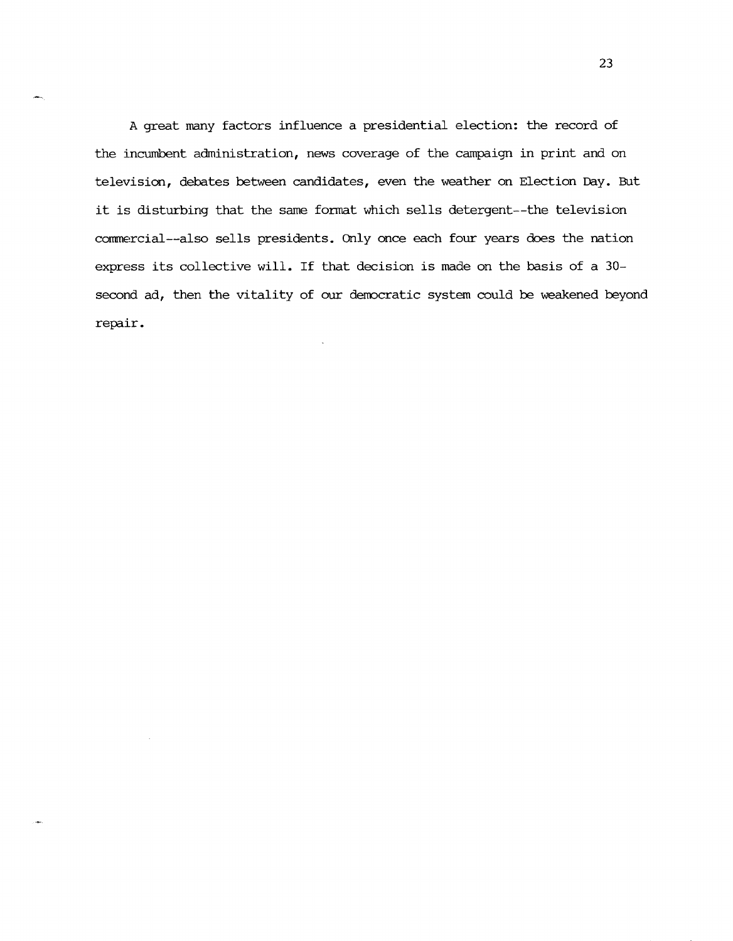A great many factors influence a presidential election: the record of the incumbent administration, news coverage of the campaign in print and on television, debates between candidates, even the weather on Election Day. But it is disturbing that the same format which sells detergent--the television commercial--also sells presidents. Only once each four years does the nation express its collective will. If that decision is made on the basis of a 30 second ad, then the vitality of our democratic system could be weakened beyond repair.